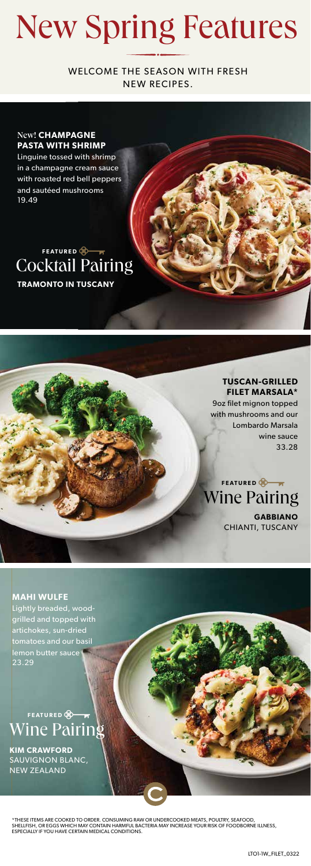## New Spring Features

WELCOME THE SEASON WITH FRESH NEW RECIPES.

#### New! **CHAMPAGNE PASTA WITH SHRIMP**

Linguine tossed with shrimp in a champagne cream sauce with roasted red bell peppers and sautéed mushrooms 19.49

### **TRAMONTO IN TUSCANY** Cocktail Pairing **FEATURED**

**TUSCAN-GRILLED FILET MARSALA\*** 9oz filet mignon topped with mushrooms and our Lombardo Marsala wine sauce 33.28

**GABBIANO** 

CHIANTI, TUSCANY

Wine Pairing **FEATURED** 

**MAHI WULFE** Lightly breaded, woodgrilled and topped with artichokes, sun-dried tomatoes and our basil lemon butter sauce 23.29

## Wine Pairing **FEATURED**

**KIM CRAWFORD**  SAUVIGNON BLANC, NEW ZEALAND

\*THESE ITEMS ARE COOKED TO ORDER. CONSUMING RAW OR UNDERCOOKED MEATS, POULTRY, SEAFOOD, SHELLFISH, OR EGGS WHICH MAY CONTAIN HARMFUL BACTERIA MAY INCREASE YOUR RISK OF FOODBORNE ILLNESS,<br>ESPECIALLY IF YOU HAVE CERTAIN MEDICAL CONDITIONS.